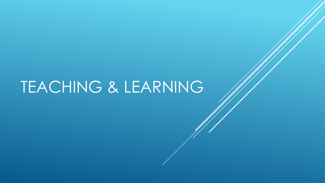# TEACHING & LEARNING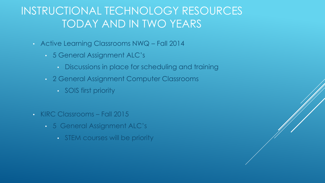- Active Learning Classrooms NWQ Fall 2014
	- 5 General Assignment ALC's
		- Discussions in place for scheduling and training
	- 2 General Assignment Computer Classrooms
		- SOIS first priority
- KIRC Classrooms Fall 2015
	- 5 General Assignment ALC's
		- STEM courses will be priority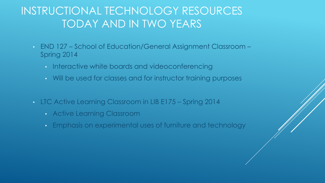- END 127 School of Education/General Assignment Classroom Spring 2014
	- Interactive white boards and videoconferencing
	- Will be used for classes and for instructor training purposes
- LTC Active Learning Classroom in LIB E175 Spring 2014
	- Active Learning Classroom
	- Emphasis on experimental uses of furniture and technology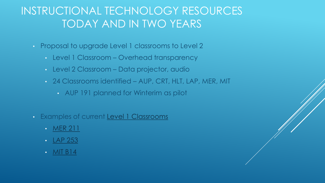- Proposal to upgrade Level 1 classrooms to Level 2
	- Level 1 Classroom Overhead transparency
	- Level 2 Classroom Data projector, audio
	- 24 Classrooms identified AUP, CRT, HLT, LAP, MER, MIT
		- AUP 191 planned for Winterim as pilot
- Examples of current [Level 1 Classrooms](http://classroomsofshame.tumblr.com/)
	- [MER 211](http://cfprodws003.uits.uwm.edu/faculty_staff/instructional_support/images/MER-211.jpg)
	- [LAP 253](http://cfprodws003.uits.uwm.edu/faculty_staff/instructional_support/images/LAP-253.jpg)
	- [MIT B14](http://cfprodws003.uits.uwm.edu/faculty_staff/instructional_support/images/MIT-B14.jpg)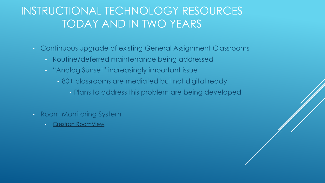- Continuous upgrade of existing General Assignment Classrooms
	- Routine/deferred maintenance being addressed
	- "Analog Sunset" increasingly important issue
		- 80+ classrooms are mediated but not digital ready
			- Plans to address this problem are being developed
- Room Monitoring System
	- [Crestron RoomView](http://roomview.uits.uwm.edu/RoomViewSE/tabs/tabs.aspx?login=true)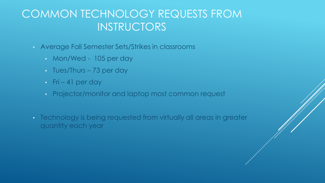#### COMMON TECHNOLOGY REQUESTS FROM **INSTRUCTORS**

- Average Fall Semester Sets/Strikes in classrooms
	- Mon/Wed 105 per day
	- Tues/Thurs 73 per day
	- Fri 41 per day
	- Projector/monitor and laptop most common request
- Technology is being requested from virtually all areas in greater quantity each year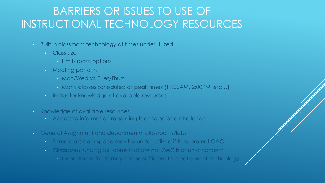#### BARRIERS OR ISSUES TO USE OF INSTRUCTIONAL TECHNOLOGY RESOURCES

- Built in classroom technology at times underutilized
	- Class size
		- Limits room options
	- Meeting patterns
		- Mon/Wed vs. Tues/Thurs
		- Many classes scheduled at peak times (11:00AM, 2:00PM, etc…)
	- Instructor knowledge of available resources
- Knowledge of available resources
	- Access to information regarding technologies a challenge
- General Assignment and departmental classrooms/labs
	- Some classroom space may be under utilized if they are not GAC
	- Classroom funding for rooms that are not GAC is often a concern
		- Department funds may not be sufficient to meet cost of technology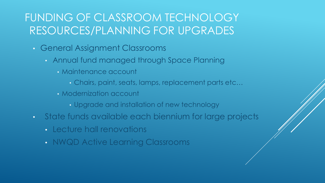# FUNDING OF CLASSROOM TECHNOLOGY RESOURCES/PLANNING FOR UPGRADES

- General Assignment Classrooms
	- Annual fund managed through Space Planning
		- Maintenance account
			- Chairs, paint, seats, lamps, replacement parts etc…
		- Modernization account
			- Upgrade and installation of new technology
- State funds available each biennium for large projects
	- Lecture hall renovations
	- NWQD Active Learning Classrooms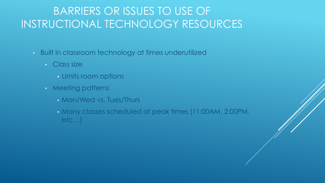### BARRIERS OR ISSUES TO USE OF INSTRUCTIONAL TECHNOLOGY RESOURCES

- Built in classroom technology at times underutilized
	- Class size
		- Limits room options
	- Meeting patterns
		- Mon/Wed vs. Tues/Thurs
		- Many classes scheduled at peak times (11:00AM, 2:00PM, etc…)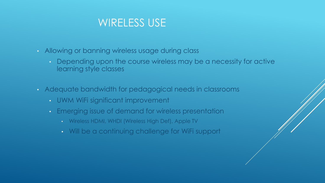#### WIRELESS USE

- Allowing or banning wireless usage during class
	- Depending upon the course wireless may be a necessity for active learning style classes
- Adequate bandwidth for pedagogical needs in classrooms
	- UWM WiFi significant improvement
	- Emerging issue of demand for wireless presentation
		- Wireless HDMI, WHDI (Wireless High Def), Apple TV
		- Will be a continuing challenge for WiFi support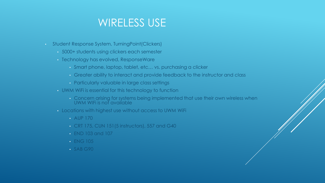#### WIRELESS USE

- Student Response System, TurningPoint(Clickers)
	- 5000+ students using clickers each semester
	- Technology has evolved, ResponseWare
		- Smart phone, laptop, tablet, etc... vs. purchasing a clicker
		- Greater ability to interact and provide feedback to the instructor and class
		- Particularly valuable in large class settings
	- UWM WiFi is essential for this technology to function
		- Concern arising for systems being implemented that use their own wireless when UWM WIFi is not available
	- Locations with highest use without access to UWM WiFi
		- AUP 170
		- CRT 175, CUN 151(5 instructors), 557 and G40
		- END 103 and 107
		- ENG 105
		- SAB G90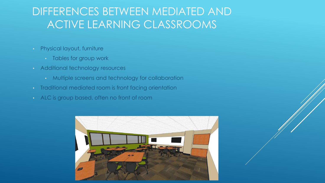# DIFFERENCES BETWEEN MEDIATED AND ACTIVE LEARNING CLASSROOMS

- Physical layout, furniture
	- Tables for group work
- Additional technology resources
	- Multiple screens and technology for collaboration
- Traditional mediated room is front facing orientation
- ALC is group based, often no front of room

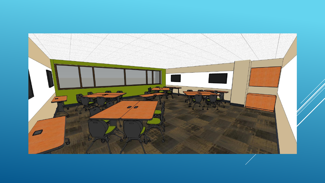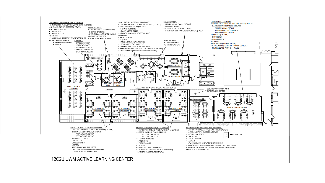#### 12C2U UWM ACTIVE LEARNING CENTER